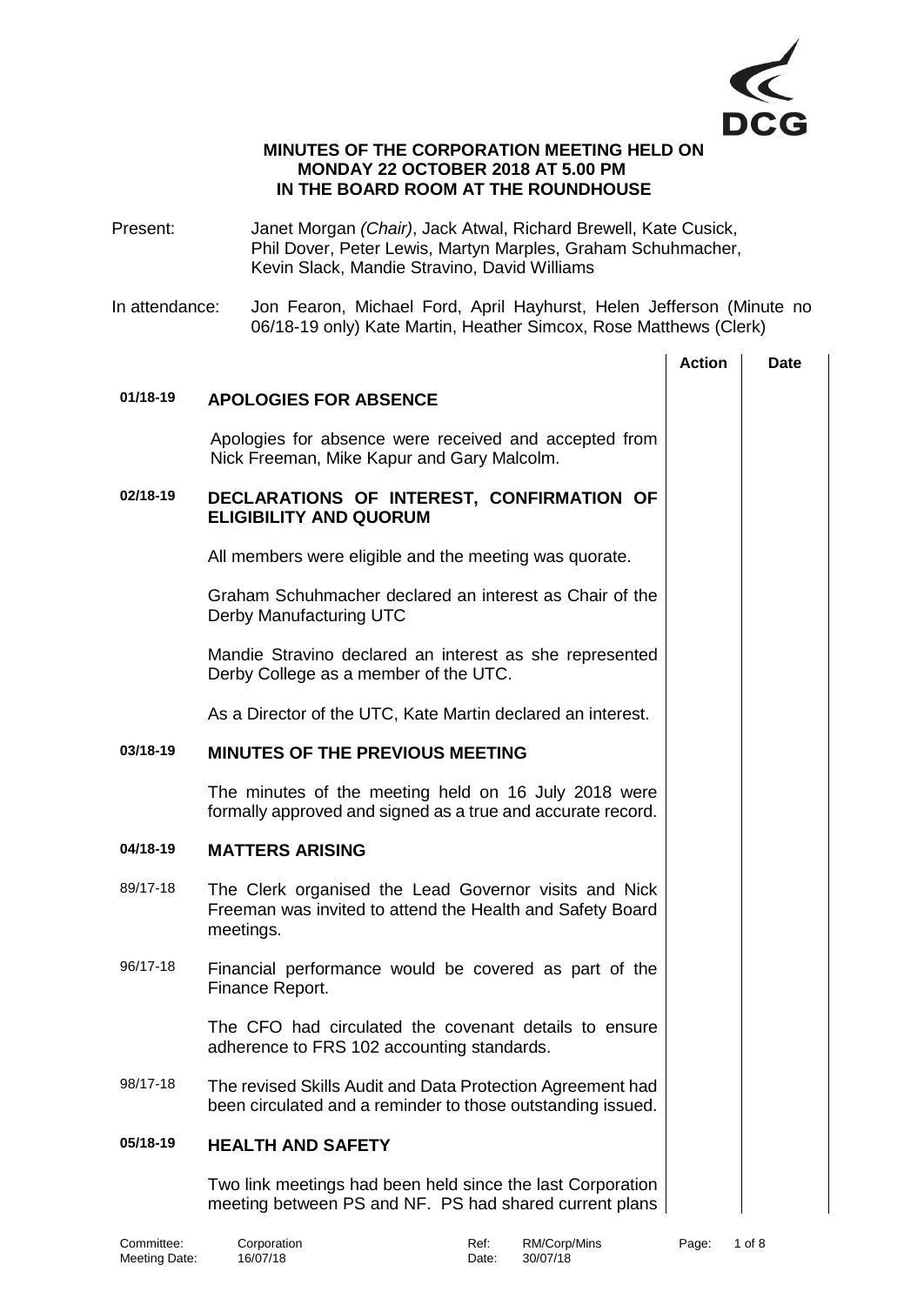

### **MINUTES OF THE CORPORATION MEETING HELD ON MONDAY 22 OCTOBER 2018 AT 5.00 PM IN THE BOARD ROOM AT THE ROUNDHOUSE**

- Present: Janet Morgan *(Chair)*, Jack Atwal, Richard Brewell, Kate Cusick, Phil Dover, Peter Lewis, Martyn Marples, Graham Schuhmacher, Kevin Slack, Mandie Stravino, David Williams
- In attendance: Jon Fearon, Michael Ford, April Hayhurst, Helen Jefferson (Minute no 06/18-19 only) Kate Martin, Heather Simcox, Rose Matthews (Clerk)

|          |                                                                                                                                 | <b>Action</b> | Date |
|----------|---------------------------------------------------------------------------------------------------------------------------------|---------------|------|
| 01/18-19 | <b>APOLOGIES FOR ABSENCE</b>                                                                                                    |               |      |
|          | Apologies for absence were received and accepted from<br>Nick Freeman, Mike Kapur and Gary Malcolm.                             |               |      |
| 02/18-19 | DECLARATIONS OF INTEREST, CONFIRMATION OF<br><b>ELIGIBILITY AND QUORUM</b>                                                      |               |      |
|          | All members were eligible and the meeting was quorate.                                                                          |               |      |
|          | Graham Schuhmacher declared an interest as Chair of the<br>Derby Manufacturing UTC                                              |               |      |
|          | Mandie Stravino declared an interest as she represented<br>Derby College as a member of the UTC.                                |               |      |
|          | As a Director of the UTC, Kate Martin declared an interest.                                                                     |               |      |
| 03/18-19 | <b>MINUTES OF THE PREVIOUS MEETING</b>                                                                                          |               |      |
|          | The minutes of the meeting held on 16 July 2018 were<br>formally approved and signed as a true and accurate record.             |               |      |
| 04/18-19 | <b>MATTERS ARISING</b>                                                                                                          |               |      |
| 89/17-18 | The Clerk organised the Lead Governor visits and Nick<br>Freeman was invited to attend the Health and Safety Board<br>meetings. |               |      |
| 96/17-18 | Financial performance would be covered as part of the<br>Finance Report.                                                        |               |      |
|          | The CFO had circulated the covenant details to ensure<br>adherence to FRS 102 accounting standards.                             |               |      |
| 98/17-18 | The revised Skills Audit and Data Protection Agreement had<br>been circulated and a reminder to those outstanding issued.       |               |      |
| 05/18-19 | <b>HEALTH AND SAFETY</b>                                                                                                        |               |      |
|          | Two link meetings had been held since the last Corporation                                                                      |               |      |

meeting between PS and NF. PS had shared current plans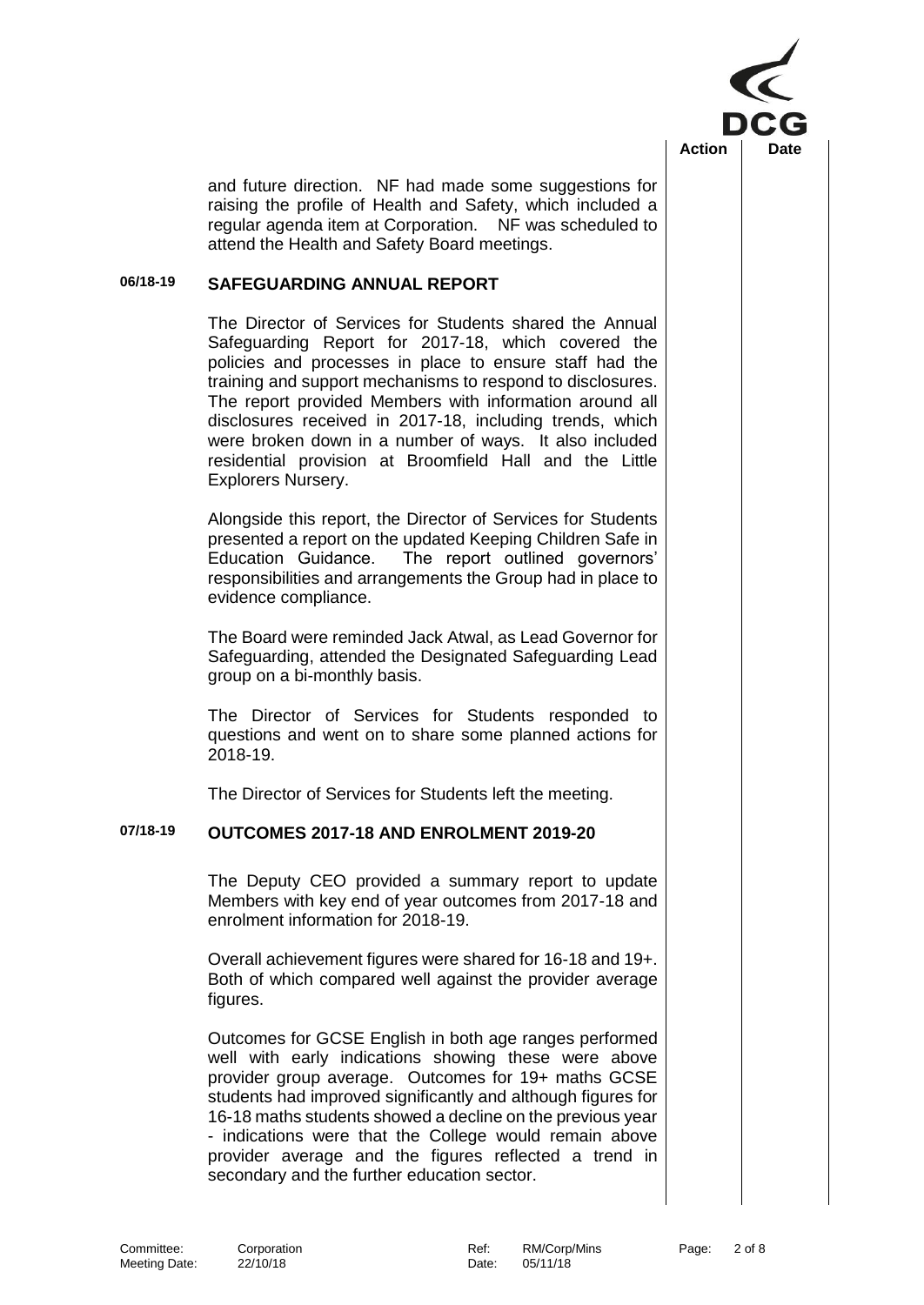

and future direction. NF had made some suggestions for raising the profile of Health and Safety, which included a regular agenda item at Corporation. NF was scheduled to attend the Health and Safety Board meetings.

#### **06/18-19 SAFEGUARDING ANNUAL REPORT**

The Director of Services for Students shared the Annual Safeguarding Report for 2017-18, which covered the policies and processes in place to ensure staff had the training and support mechanisms to respond to disclosures. The report provided Members with information around all disclosures received in 2017-18, including trends, which were broken down in a number of ways. It also included residential provision at Broomfield Hall and the Little Explorers Nursery.

Alongside this report, the Director of Services for Students presented a report on the updated Keeping Children Safe in Education Guidance. The report outlined governors' responsibilities and arrangements the Group had in place to evidence compliance.

The Board were reminded Jack Atwal, as Lead Governor for Safeguarding, attended the Designated Safeguarding Lead group on a bi-monthly basis.

The Director of Services for Students responded to questions and went on to share some planned actions for 2018-19.

The Director of Services for Students left the meeting.

# **07/18-19 OUTCOMES 2017-18 AND ENROLMENT 2019-20**

The Deputy CEO provided a summary report to update Members with key end of year outcomes from 2017-18 and enrolment information for 2018-19.

Overall achievement figures were shared for 16-18 and 19+. Both of which compared well against the provider average figures.

Outcomes for GCSE English in both age ranges performed well with early indications showing these were above provider group average. Outcomes for 19+ maths GCSE students had improved significantly and although figures for 16-18 maths students showed a decline on the previous year - indications were that the College would remain above provider average and the figures reflected a trend in secondary and the further education sector.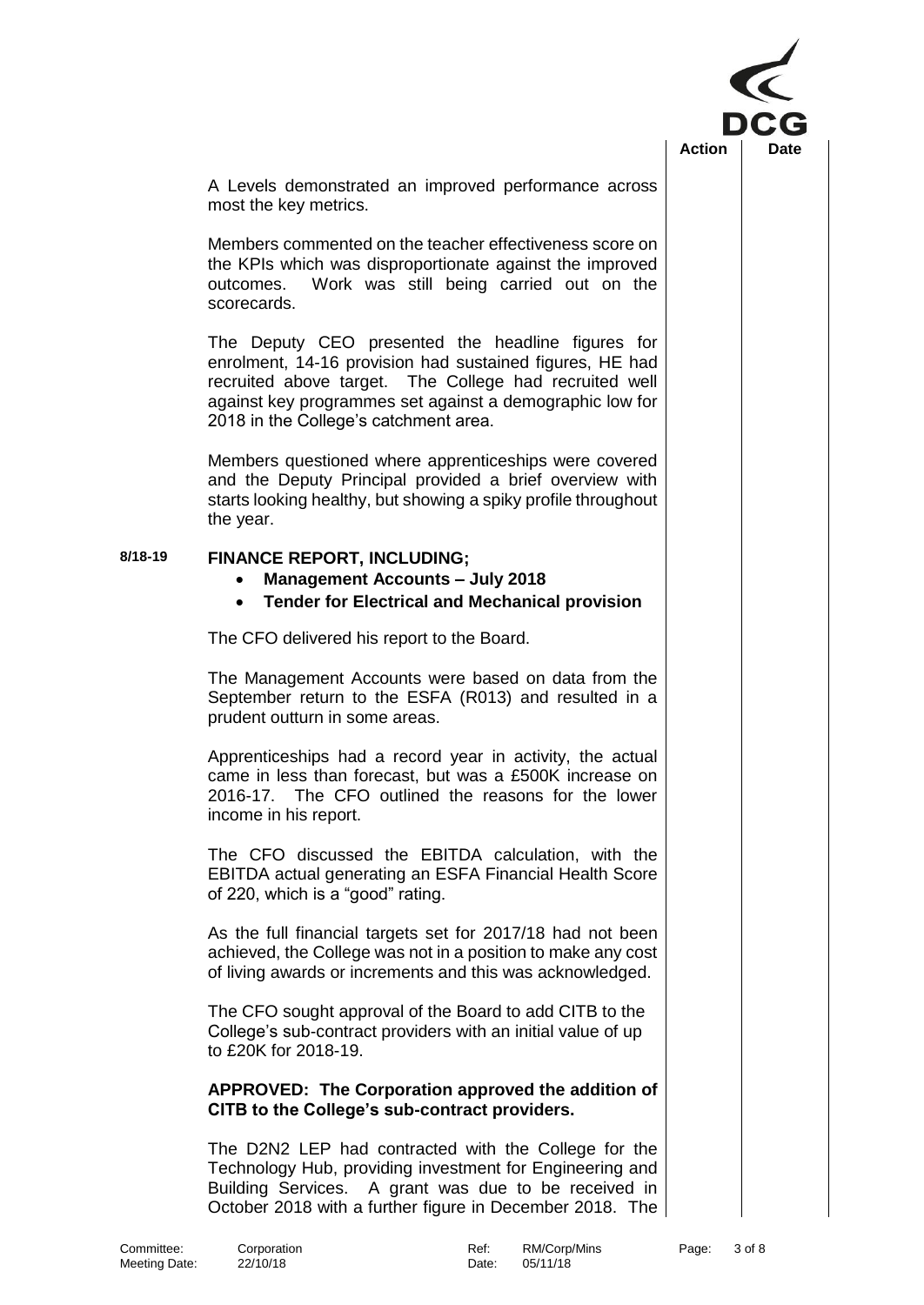

A Levels demonstrated an improved performance across most the key metrics.

Members commented on the teacher effectiveness score on the KPIs which was disproportionate against the improved outcomes. Work was still being carried out on the scorecards.

The Deputy CEO presented the headline figures for enrolment, 14-16 provision had sustained figures, HE had recruited above target. The College had recruited well against key programmes set against a demographic low for 2018 in the College's catchment area.

Members questioned where apprenticeships were covered and the Deputy Principal provided a brief overview with starts looking healthy, but showing a spiky profile throughout the year.

# **8/18-19 FINANCE REPORT, INCLUDING;**

- **Management Accounts – July 2018**
- **Tender for Electrical and Mechanical provision**

The CFO delivered his report to the Board.

The Management Accounts were based on data from the September return to the ESFA (R013) and resulted in a prudent outturn in some areas.

Apprenticeships had a record year in activity, the actual came in less than forecast, but was a £500K increase on 2016-17. The CFO outlined the reasons for the lower income in his report.

The CFO discussed the EBITDA calculation, with the EBITDA actual generating an ESFA Financial Health Score of 220, which is a "good" rating.

As the full financial targets set for 2017/18 had not been achieved, the College was not in a position to make any cost of living awards or increments and this was acknowledged.

The CFO sought approval of the Board to add CITB to the College's sub-contract providers with an initial value of up to £20K for 2018-19.

# **APPROVED: The Corporation approved the addition of CITB to the College's sub-contract providers.**

The D2N2 LEP had contracted with the College for the Technology Hub, providing investment for Engineering and Building Services. A grant was due to be received in October 2018 with a further figure in December 2018. The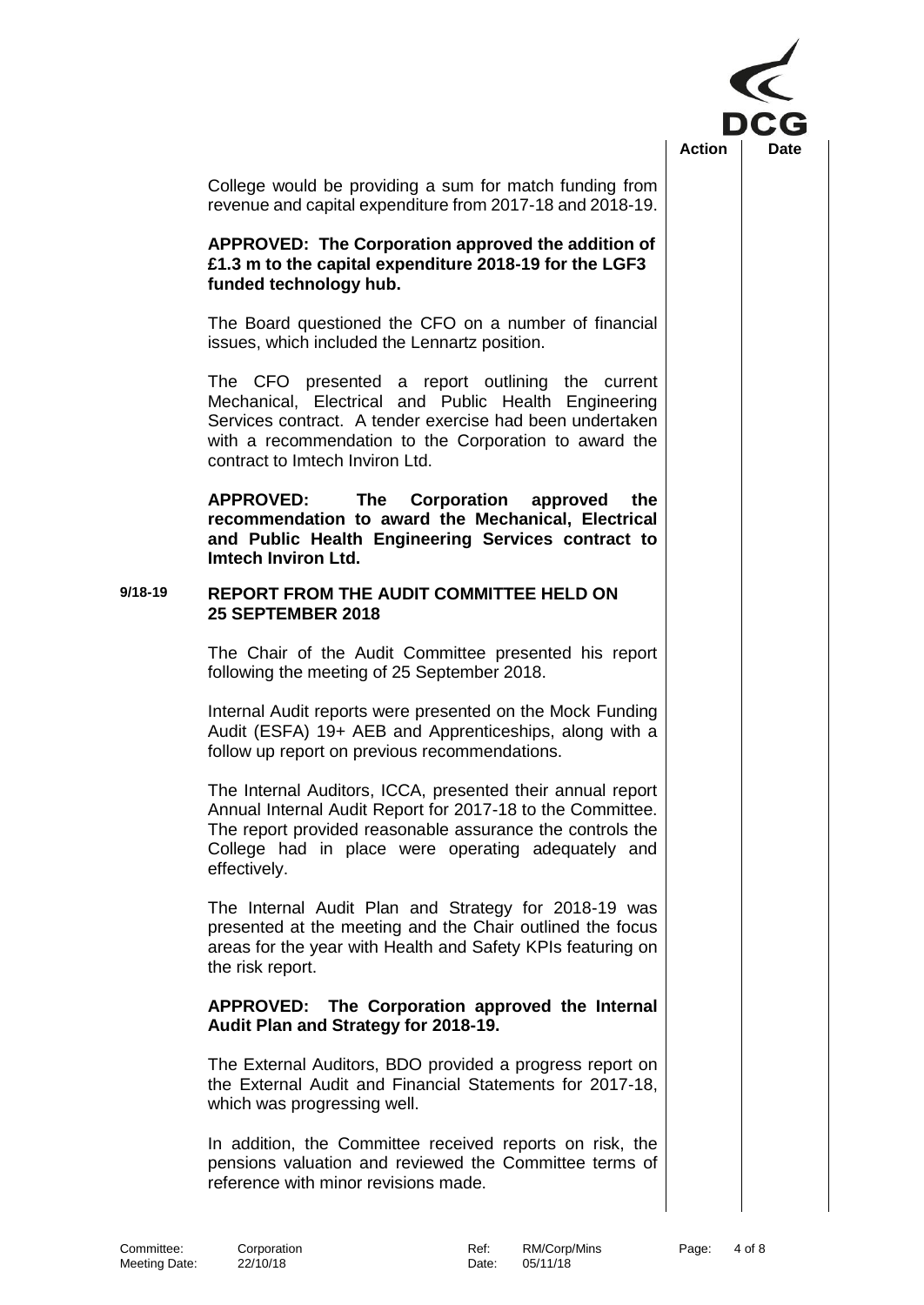

College would be providing a sum for match funding from revenue and capital expenditure from 2017-18 and 2018-19.

#### **APPROVED: The Corporation approved the addition of £1.3 m to the capital expenditure 2018-19 for the LGF3 funded technology hub.**

The Board questioned the CFO on a number of financial issues, which included the Lennartz position.

The CFO presented a report outlining the current Mechanical, Electrical and Public Health Engineering Services contract. A tender exercise had been undertaken with a recommendation to the Corporation to award the contract to Imtech Inviron Ltd.

**APPROVED: The Corporation approved the recommendation to award the Mechanical, Electrical and Public Health Engineering Services contract to Imtech Inviron Ltd.**

#### **9/18-19 REPORT FROM THE AUDIT COMMITTEE HELD ON 25 SEPTEMBER 2018**

The Chair of the Audit Committee presented his report following the meeting of 25 September 2018.

Internal Audit reports were presented on the Mock Funding Audit (ESFA) 19+ AEB and Apprenticeships, along with a follow up report on previous recommendations.

The Internal Auditors, ICCA, presented their annual report Annual Internal Audit Report for 2017-18 to the Committee. The report provided reasonable assurance the controls the College had in place were operating adequately and effectively.

The Internal Audit Plan and Strategy for 2018-19 was presented at the meeting and the Chair outlined the focus areas for the year with Health and Safety KPIs featuring on the risk report.

# **APPROVED: The Corporation approved the Internal Audit Plan and Strategy for 2018-19.**

The External Auditors, BDO provided a progress report on the External Audit and Financial Statements for 2017-18, which was progressing well.

In addition, the Committee received reports on risk, the pensions valuation and reviewed the Committee terms of reference with minor revisions made.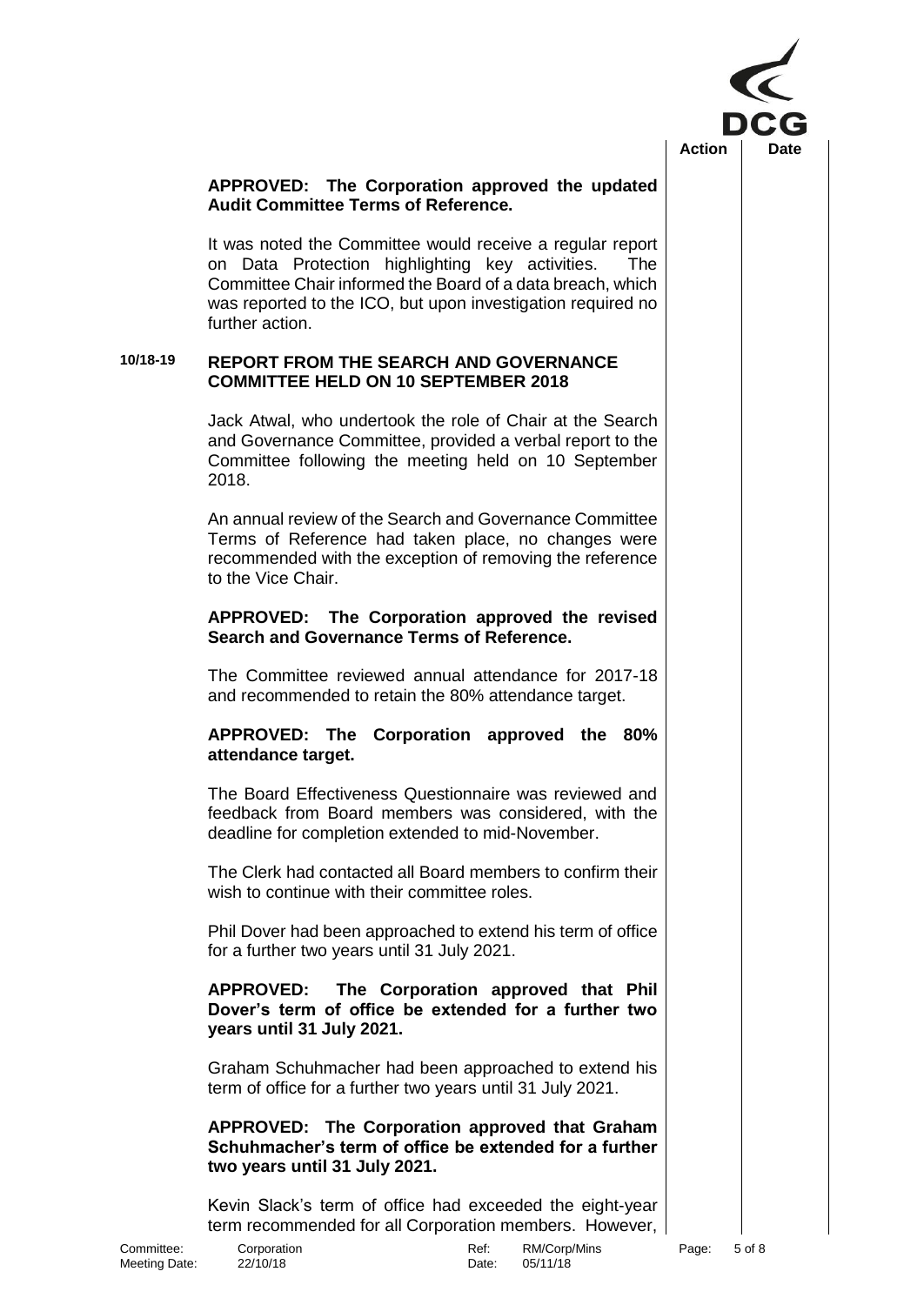

# **APPROVED: The Corporation approved the updated Audit Committee Terms of Reference.**

It was noted the Committee would receive a regular report on Data Protection highlighting key activities. The Committee Chair informed the Board of a data breach, which was reported to the ICO, but upon investigation required no further action.

### **10/18-19 REPORT FROM THE SEARCH AND GOVERNANCE COMMITTEE HELD ON 10 SEPTEMBER 2018**

Jack Atwal, who undertook the role of Chair at the Search and Governance Committee, provided a verbal report to the Committee following the meeting held on 10 September 2018.

An annual review of the Search and Governance Committee Terms of Reference had taken place, no changes were recommended with the exception of removing the reference to the Vice Chair.

# **APPROVED: The Corporation approved the revised Search and Governance Terms of Reference.**

The Committee reviewed annual attendance for 2017-18 and recommended to retain the 80% attendance target.

# **APPROVED: The Corporation approved the 80% attendance target.**

The Board Effectiveness Questionnaire was reviewed and feedback from Board members was considered, with the deadline for completion extended to mid-November.

The Clerk had contacted all Board members to confirm their wish to continue with their committee roles.

Phil Dover had been approached to extend his term of office for a further two years until 31 July 2021.

# **APPROVED: The Corporation approved that Phil Dover's term of office be extended for a further two years until 31 July 2021.**

Graham Schuhmacher had been approached to extend his term of office for a further two years until 31 July 2021.

#### **APPROVED: The Corporation approved that Graham Schuhmacher's term of office be extended for a further two years until 31 July 2021.**

Kevin Slack's term of office had exceeded the eight-year term recommended for all Corporation members. However,

Committee: Corporation Committee: Corporation Committee: 5 of 8<br>
Meeting Date: 22/10/18 Committee: Committee: 05/11/18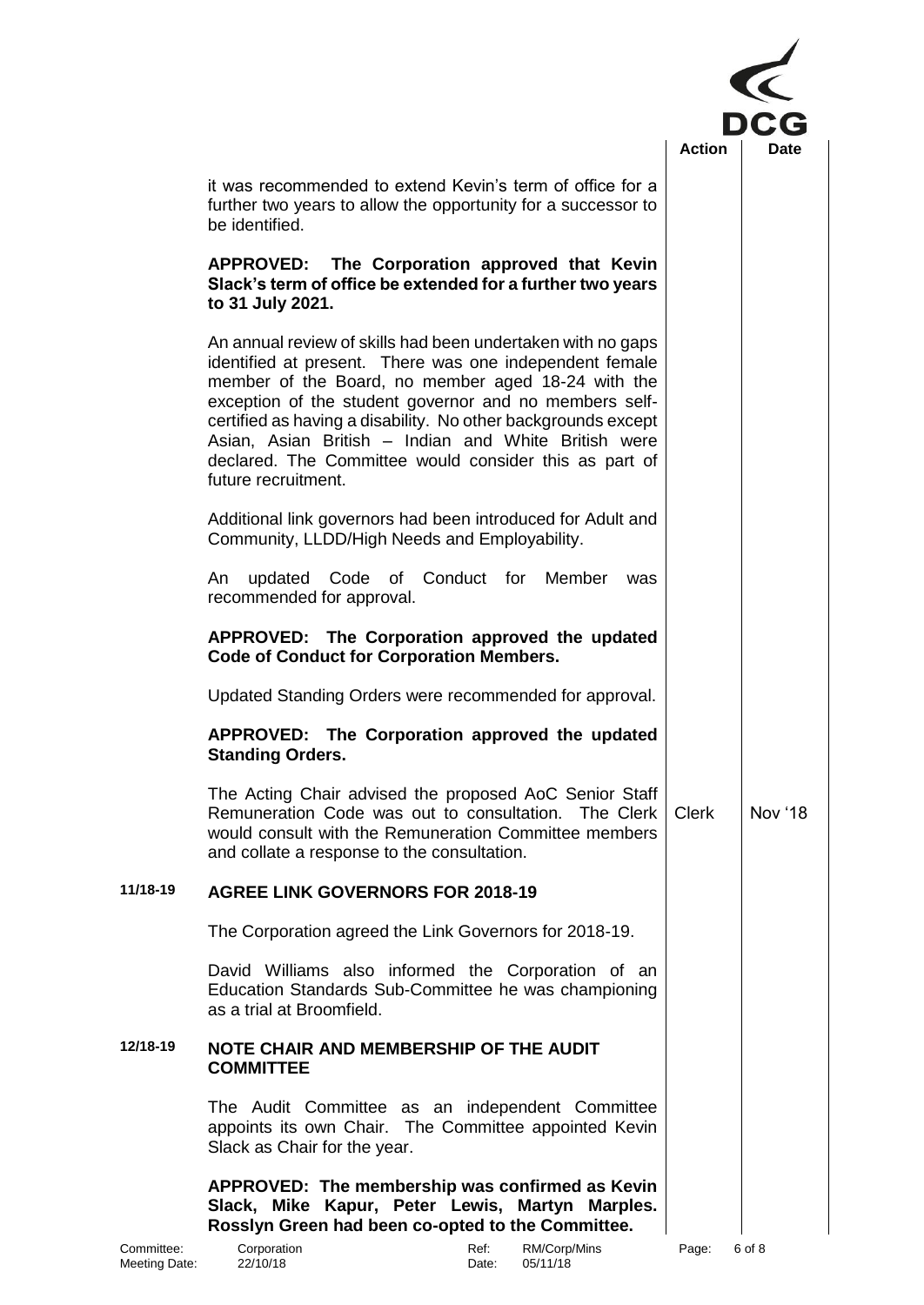

it was recommended to extend Kevin's term of office for a further two years to allow the opportunity for a successor to be identified.

#### **APPROVED: The Corporation approved that Kevin Slack's term of office be extended for a further two years to 31 July 2021.**

An annual review of skills had been undertaken with no gaps identified at present. There was one independent female member of the Board, no member aged 18-24 with the exception of the student governor and no members selfcertified as having a disability. No other backgrounds except Asian, Asian British – Indian and White British were declared. The Committee would consider this as part of future recruitment.

Additional link governors had been introduced for Adult and Community, LLDD/High Needs and Employability.

An updated Code of Conduct for Member was recommended for approval.

# **APPROVED: The Corporation approved the updated Code of Conduct for Corporation Members.**

Updated Standing Orders were recommended for approval.

# **APPROVED: The Corporation approved the updated Standing Orders.**

The Acting Chair advised the proposed AoC Senior Staff Remuneration Code was out to consultation. The Clerk would consult with the Remuneration Committee members and collate a response to the consultation. Clerk | Nov '18

# **11/18-19 AGREE LINK GOVERNORS FOR 2018-19**

The Corporation agreed the Link Governors for 2018-19.

David Williams also informed the Corporation of an Education Standards Sub-Committee he was championing as a trial at Broomfield.

# **12/18-19 NOTE CHAIR AND MEMBERSHIP OF THE AUDIT COMMITTEE**

The Audit Committee as an independent Committee appoints its own Chair. The Committee appointed Kevin Slack as Chair for the year.

**APPROVED: The membership was confirmed as Kevin Slack, Mike Kapur, Peter Lewis, Martyn Marples. Rosslyn Green had been co-opted to the Committee.**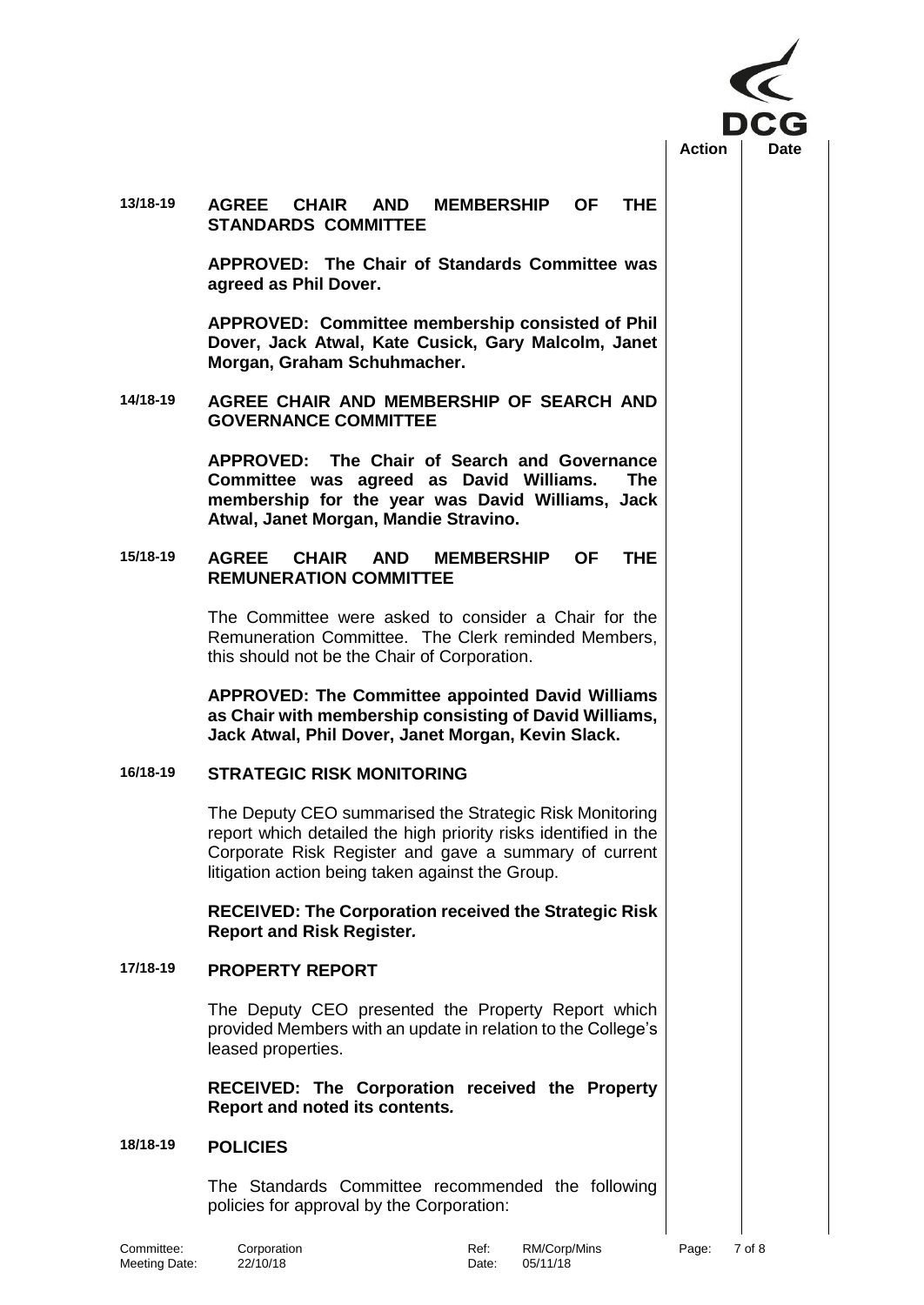

### **13/18-19 AGREE CHAIR AND MEMBERSHIP OF THE STANDARDS COMMITTEE**

**APPROVED: The Chair of Standards Committee was agreed as Phil Dover.** 

**APPROVED: Committee membership consisted of Phil Dover, Jack Atwal, Kate Cusick, Gary Malcolm, Janet Morgan, Graham Schuhmacher.**

#### **14/18-19 AGREE CHAIR AND MEMBERSHIP OF SEARCH AND GOVERNANCE COMMITTEE**

**APPROVED: The Chair of Search and Governance Committee was agreed as David Williams. The membership for the year was David Williams, Jack Atwal, Janet Morgan, Mandie Stravino.**

#### **15/18-19 AGREE CHAIR AND MEMBERSHIP OF THE REMUNERATION COMMITTEE**

The Committee were asked to consider a Chair for the Remuneration Committee. The Clerk reminded Members, this should not be the Chair of Corporation.

**APPROVED: The Committee appointed David Williams as Chair with membership consisting of David Williams, Jack Atwal, Phil Dover, Janet Morgan, Kevin Slack.**

# **16/18-19 STRATEGIC RISK MONITORING**

The Deputy CEO summarised the Strategic Risk Monitoring report which detailed the high priority risks identified in the Corporate Risk Register and gave a summary of current litigation action being taken against the Group.

**RECEIVED: The Corporation received the Strategic Risk Report and Risk Register***.*

# **17/18-19 PROPERTY REPORT**

The Deputy CEO presented the Property Report which provided Members with an update in relation to the College's leased properties.

**RECEIVED: The Corporation received the Property Report and noted its contents***.*

#### **18/18-19 POLICIES**

The Standards Committee recommended the following policies for approval by the Corporation: